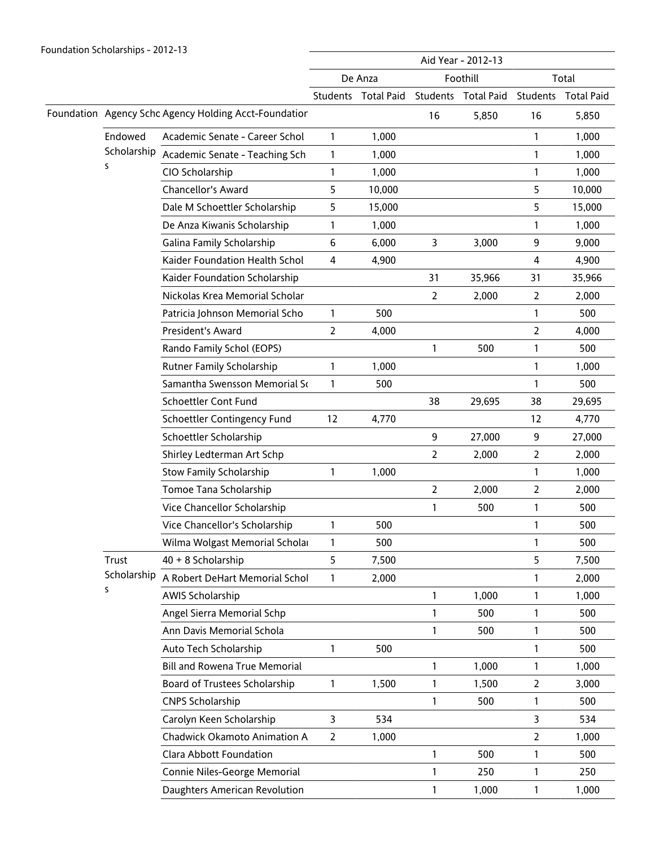|  |                                                       |                                      | Aid Year - 2012-13 |                     |                  |                   |                |                   |
|--|-------------------------------------------------------|--------------------------------------|--------------------|---------------------|------------------|-------------------|----------------|-------------------|
|  |                                                       |                                      |                    | De Anza             |                  | Foothill          | Total          |                   |
|  |                                                       |                                      |                    | Students Total Paid | Students         | <b>Total Paid</b> | Students       | <b>Total Paid</b> |
|  | Foundation Agency Schc Agency Holding Acct-Foundation |                                      |                    |                     | 16               | 5,850             | 16             | 5,850             |
|  | Endowed                                               | Academic Senate - Career Schol       | $\mathbf{1}$       | 1,000               |                  |                   | 1              | 1,000             |
|  | Scholarship<br>S                                      | Academic Senate - Teaching Sch       | 1                  | 1,000               |                  |                   | 1              | 1,000             |
|  |                                                       | CIO Scholarship                      | 1                  | 1,000               |                  |                   | $\mathbf{1}$   | 1,000             |
|  |                                                       | Chancellor's Award                   | 5                  | 10,000              |                  |                   | 5              | 10,000            |
|  |                                                       | Dale M Schoettler Scholarship        | 5                  | 15,000              |                  |                   | 5              | 15,000            |
|  |                                                       | De Anza Kiwanis Scholarship          | 1                  | 1,000               |                  |                   | $\mathbf{1}$   | 1,000             |
|  |                                                       | Galina Family Scholarship            | 6                  | 6,000               | 3                | 3,000             | 9              | 9,000             |
|  |                                                       | Kaider Foundation Health Schol       | 4                  | 4,900               |                  |                   | 4              | 4,900             |
|  |                                                       | Kaider Foundation Scholarship        |                    |                     | 31               | 35,966            | 31             | 35,966            |
|  |                                                       | Nickolas Krea Memorial Scholar       |                    |                     | 2                | 2,000             | $\overline{2}$ | 2,000             |
|  |                                                       | Patricia Johnson Memorial Scho       | 1                  | 500                 |                  |                   | 1              | 500               |
|  |                                                       | President's Award                    | $\overline{2}$     | 4,000               |                  |                   | $\overline{2}$ | 4,000             |
|  |                                                       | Rando Family Schol (EOPS)            |                    |                     | 1                | 500               | 1              | 500               |
|  |                                                       | Rutner Family Scholarship            | 1                  | 1,000               |                  |                   | $\mathbf{1}$   | 1,000             |
|  |                                                       | Samantha Swensson Memorial Sc        | 1                  | 500                 |                  |                   | 1              | 500               |
|  |                                                       | Schoettler Cont Fund                 |                    |                     | 38               | 29,695            | 38             | 29,695            |
|  |                                                       | Schoettler Contingency Fund          | 12                 | 4,770               |                  |                   | 12             | 4,770             |
|  |                                                       | Schoettler Scholarship               |                    |                     | $\boldsymbol{9}$ | 27,000            | 9              | 27,000            |
|  |                                                       | Shirley Ledterman Art Schp           |                    |                     | 2                | 2,000             | $\overline{2}$ | 2,000             |
|  |                                                       | <b>Stow Family Scholarship</b>       | 1                  | 1,000               |                  |                   | 1              | 1,000             |
|  |                                                       | Tomoe Tana Scholarship               |                    |                     | $\overline{2}$   | 2,000             | 2              | 2,000             |
|  |                                                       | Vice Chancellor Scholarship          |                    |                     | 1                | 500               | $\mathbf{1}$   | 500               |
|  |                                                       | Vice Chancellor's Scholarship        | 1                  | 500                 |                  |                   | 1              | 500               |
|  |                                                       | Wilma Wolgast Memorial Scholar       | 1                  | 500                 |                  |                   | 1              | 500               |
|  | Trust                                                 | 40 + 8 Scholarship                   | 5                  | 7,500               |                  |                   | 5              | 7,500             |
|  | Scholarship                                           | A Robert DeHart Memorial Schol       | 1                  | 2,000               |                  |                   | 1              | 2,000             |
|  | S                                                     | AWIS Scholarship                     |                    |                     | 1                | 1,000             | 1              | 1,000             |
|  |                                                       | Angel Sierra Memorial Schp           |                    |                     | 1                | 500               | 1              | 500               |
|  |                                                       | Ann Davis Memorial Schola            |                    |                     | 1                | 500               | 1              | 500               |
|  |                                                       | Auto Tech Scholarship                | 1                  | 500                 |                  |                   | 1              | 500               |
|  |                                                       | <b>Bill and Rowena True Memorial</b> |                    |                     | 1                | 1,000             | $\mathbf{1}$   | 1,000             |
|  |                                                       | Board of Trustees Scholarship        | 1                  | 1,500               | $\mathbf{1}$     | 1,500             | $\overline{2}$ | 3,000             |
|  |                                                       | <b>CNPS Scholarship</b>              |                    |                     | 1                | 500               | 1              | 500               |
|  |                                                       | Carolyn Keen Scholarship             | $\mathsf{3}$       | 534                 |                  |                   | $\mathbf{3}$   | 534               |
|  |                                                       | Chadwick Okamoto Animation A         | $\overline{2}$     | 1,000               |                  |                   | $\overline{2}$ | 1,000             |
|  |                                                       | Clara Abbott Foundation              |                    |                     | 1                | 500               | 1              | 500               |
|  |                                                       | Connie Niles-George Memorial         |                    |                     | 1                | 250               | 1              | 250               |
|  |                                                       | Daughters American Revolution        |                    |                     | $\mathbf{1}$     | 1,000             | $\mathbf{1}$   | 1,000             |